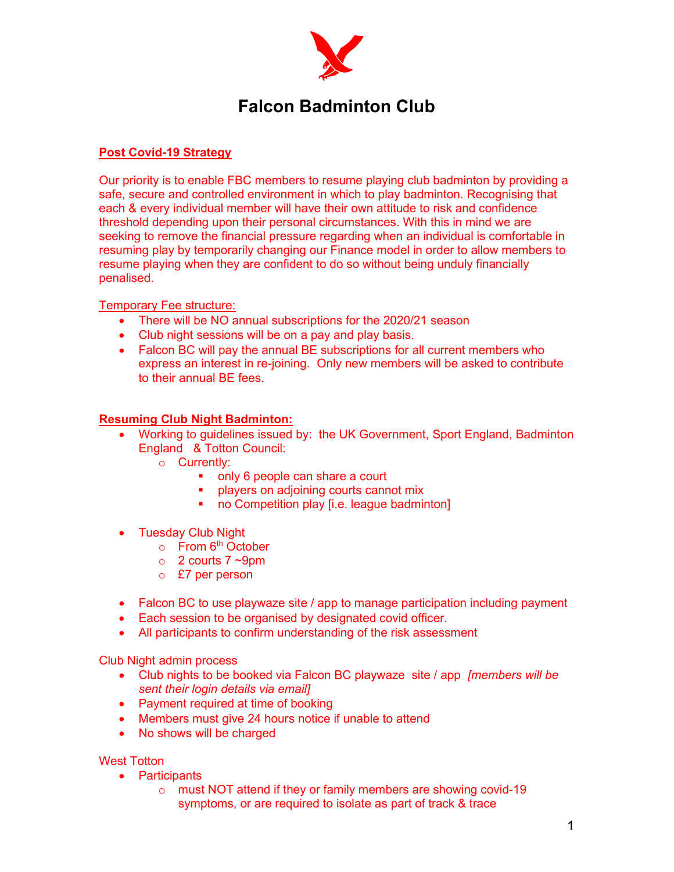

## Falcon Badminton Club

## Post Covid-19 Strategy

Our priority is to enable FBC members to resume playing club badminton by providing a safe, secure and controlled environment in which to play badminton. Recognising that each & every individual member will have their own attitude to risk and confidence threshold depending upon their personal circumstances. With this in mind we are seeking to remove the financial pressure regarding when an individual is comfortable in resuming play by temporarily changing our Finance model in order to allow members to resume playing when they are confident to do so without being unduly financially penalised.

Temporary Fee structure:

- There will be NO annual subscriptions for the 2020/21 season
- Club night sessions will be on a pay and play basis.
- Falcon BC will pay the annual BE subscriptions for all current members who express an interest in re-joining. Only new members will be asked to contribute to their annual BE fees.

## Resuming Club Night Badminton:

- Working to guidelines issued by: the UK Government, Sport England, Badminton England & Totton Council:
	- o Currently:
		- only 6 people can share a court
		- players on adjoining courts cannot mix
		- no Competition play [i.e. league badminton]
- Tuesday Club Night
	- $\circ$  From 6<sup>th</sup> October
	- $\circ$  2 courts 7 ~9pm
	- o £7 per person
- Falcon BC to use playwaze site / app to manage participation including payment
- Each session to be organised by designated covid officer.
- All participants to confirm understanding of the risk assessment

Club Night admin process

- Club nights to be booked via Falcon BC playwaze site / app [members will be sent their login details via email]
- Payment required at time of booking
- Members must give 24 hours notice if unable to attend
- No shows will be charged

West Totton

- Participants
	- o must NOT attend if they or family members are showing covid-19 symptoms, or are required to isolate as part of track & trace